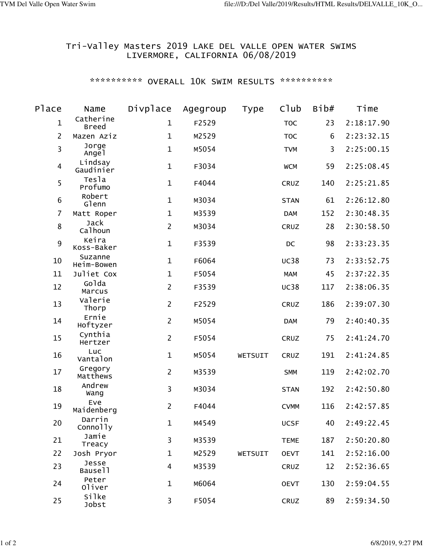## Tri-Valley Masters 2019 LAKE DEL VALLE OPEN WATER SWIMS LIVERMORE, CALIFORNIA 06/08/2019

## \*\*\*\*\*\*\*\*\*\*\* OVERALL 10K SWIM RESULTS \*\*\*\*\*\*\*\*\*\*\*

| Place                   | Name                      | Divplace                | Agegroup | Type    | C1ub        | Bib# | Time       |
|-------------------------|---------------------------|-------------------------|----------|---------|-------------|------|------------|
| $\mathbf{1}$            | Catherine<br><b>Breed</b> | $\mathbf{1}$            | F2529    |         | <b>TOC</b>  | 23   | 2:18:17.90 |
| $\overline{2}$          | Mazen Aziz                | $\mathbf 1$             | M2529    |         | <b>TOC</b>  | 6    | 2:23:32.15 |
| $\overline{\mathbf{3}}$ | Jorge<br>Angel            | $\mathbf{1}$            | M5054    |         | <b>TVM</b>  | 3    | 2:25:00.15 |
| $\overline{4}$          | Lindsay<br>Gaudinier      | $\mathbf{1}$            | F3034    |         | <b>WCM</b>  | 59   | 2:25:08.45 |
| 5                       | Tesla<br>Profumo          | $\mathbf{1}$            | F4044    |         | CRUZ        | 140  | 2:25:21.85 |
| $\,$ 6                  | Robert<br>Glenn           | $\mathbf{1}$            | M3034    |         | <b>STAN</b> | 61   | 2:26:12.80 |
| $\overline{7}$          | Matt Roper                | $\mathbf{1}$            | M3539    |         | <b>DAM</b>  | 152  | 2:30:48.35 |
| $\bf 8$                 | Jack<br>Calhoun           | $\overline{2}$          | M3034    |         | CRUZ        | 28   | 2:30:58.50 |
| 9                       | Keira<br>Koss-Baker       | $\mathbf{1}$            | F3539    |         | DC          | 98   | 2:33:23.35 |
| 10                      | Suzanne<br>Heim-Bowen     | $\mathbf{1}$            | F6064    |         | <b>UC38</b> | 73   | 2:33:52.75 |
| 11                      | Juliet Cox                | $\mathbf{1}$            | F5054    |         | <b>MAM</b>  | 45   | 2:37:22.35 |
| 12                      | Golda<br>Marcus           | $\overline{2}$          | F3539    |         | <b>UC38</b> | 117  | 2:38:06.35 |
| 13                      | Valerie<br>Thorp          | $\overline{2}$          | F2529    |         | CRUZ        | 186  | 2:39:07.30 |
| 14                      | Ernie<br>Hoftyzer         | $\overline{2}$          | M5054    |         | <b>DAM</b>  | 79   | 2:40:40.35 |
| 15                      | Cynthia<br>Hertzer        | $\overline{2}$          | F5054    |         | CRUZ        | 75   | 2:41:24.70 |
| 16                      | Luc<br>Vantalon           | $\mathbf{1}$            | M5054    | WETSUIT | CRUZ        | 191  | 2:41:24.85 |
| 17                      | Gregory<br>Matthews       | $\overline{2}$          | M3539    |         | <b>SMM</b>  | 119  | 2:42:02.70 |
| 18                      | Andrew<br>Wang            | $\overline{3}$          | M3034    |         | <b>STAN</b> | 192  | 2:42:50.80 |
| 19                      | Eve<br>Maidenberg         | $\overline{2}$          | F4044    |         | <b>CVMM</b> | 116  | 2:42:57.85 |
| 20                      | Darrin<br>Connolly        | $\mathbf{1}$            | M4549    |         | <b>UCSF</b> | 40   | 2:49:22.45 |
| 21                      | Jamie<br>Treacy           | 3                       | M3539    |         | <b>TEME</b> | 187  | 2:50:20.80 |
| 22                      | Josh Pryor                | $\mathbf 1$             | M2529    | WETSUIT | <b>OEVT</b> | 141  | 2:52:16.00 |
| 23                      | Jesse<br>Bause11          | $\overline{\mathbf{4}}$ | M3539    |         | CRUZ        | 12   | 2:52:36.65 |
| 24                      | Peter<br>Oliver           | $\mathbf{1}$            | M6064    |         | <b>OEVT</b> | 130  | 2:59:04.55 |
| 25                      | <b>Silke</b><br>Jobst     | 3                       | F5054    |         | CRUZ        | 89   | 2:59:34.50 |